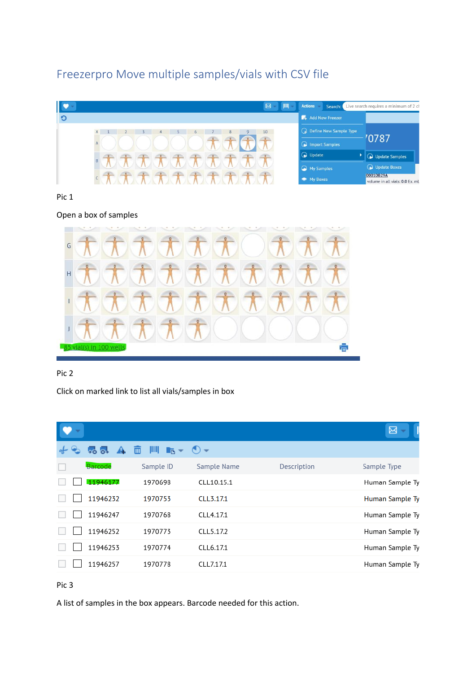# Freezerpro Move multiple samples/vials with CSV file



Pic 1

Open a box of samples



# Pic 2

Click on marked link to list all vials/samples in box

|                                         |                                          |                                  |             | 図               |
|-----------------------------------------|------------------------------------------|----------------------------------|-------------|-----------------|
| $\rightarrow \circ$ $\circ \rightarrow$ | 而<br><b>TILLE</b><br>$\mathbb{R}$ $\tau$ | $\left( \bullet \right)$ $\star$ |             |                 |
| Barcode                                 | Sample ID                                | Sample Name                      | Description | Sample Type     |
| 11946177                                | 1970698                                  | CLL10.15.1                       |             | Human Sample Ty |
| 11946232                                | 1970753                                  | CLL3.17.1                        |             | Human Sample Ty |
| 11946247                                | 1970768                                  | CLL4.17.1                        |             | Human Sample Ty |
| 11946252                                | 1970773                                  | CLL5.17.2                        |             | Human Sample Ty |
| 11946253                                | 1970774                                  | CLL6.17.1                        |             | Human Sample Ty |
| 11946257                                | 1970778                                  | CLL7.17.1                        |             | Human Sample Ty |

# Pic 3

A list of samples in the box appears. Barcode needed for this action.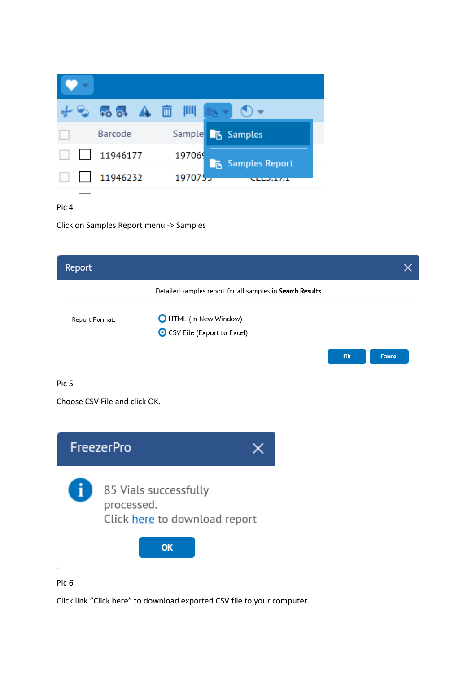|          | $-6$ 55 $\rightarrow$ $\Box$ $\Box$ $\Box$ $\rightarrow$ $\odot$ $\sim$ |  |
|----------|-------------------------------------------------------------------------|--|
| Barcode  | Sample <b>T</b> <sub>B</sub> Samples                                    |  |
| 11946177 | 197069<br>Samples Report                                                |  |
| 11946232 | 1970755                                                                 |  |

Click on Samples Report menu -> Samples

| Report           |                                                                      |    | X.            |
|------------------|----------------------------------------------------------------------|----|---------------|
|                  | Detailed samples report for all samples in Search Results            |    |               |
| Report Format:   | <b>O</b> HTML (In New Window)<br>● CSV File (Export to Excel)        |    |               |
|                  |                                                                      | Ok | <b>Cancel</b> |
| Pic <sub>5</sub> |                                                                      |    |               |
|                  | Choose CSV File and click OK.                                        |    |               |
|                  | <b>FreezerPro</b><br>X                                               |    |               |
|                  | 85 Vials successfully<br>processed.<br>Click here to download report |    |               |
| k.               | OK                                                                   |    |               |
| Pic <sub>6</sub> |                                                                      |    |               |

Click link "Click here" to download exported CSV file to your computer.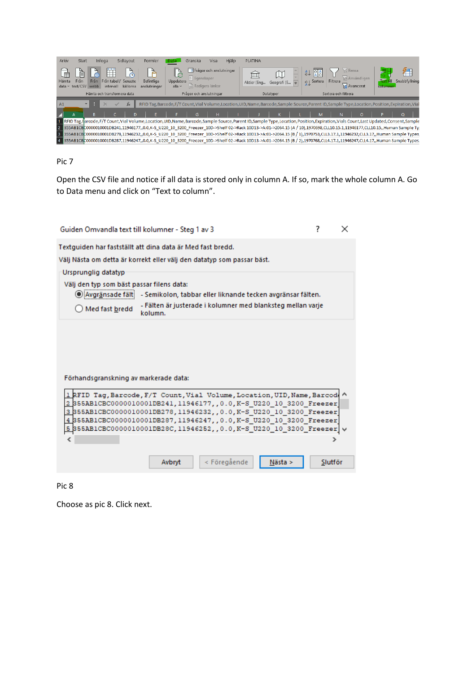

Open the CSV file and notice if all data is stored only in column A. If so, mark the whole column A. Go to Data menu and click on "Text to column".

| Guiden Omvandla text till kolumner - Steg 1 av 3                                                                                                                                                                                                                                                                                                                            |                    | × |
|-----------------------------------------------------------------------------------------------------------------------------------------------------------------------------------------------------------------------------------------------------------------------------------------------------------------------------------------------------------------------------|--------------------|---|
| Textguiden har fastställt att dina data är Med fast bredd.<br>Välj Nästa om detta är korrekt eller välj den datatyp som passar bäst.<br>Ursprunglig datatyp                                                                                                                                                                                                                 |                    |   |
| Välj den typ som bäst passar filens data:                                                                                                                                                                                                                                                                                                                                   |                    |   |
| Avgränsade fält:<br>- Semikolon, tabbar eller liknande tecken avgränsar fälten.                                                                                                                                                                                                                                                                                             |                    |   |
| - Fälten är justerade i kolumner med blanksteg mellan varje<br>Med fast bredd<br>kolumn.                                                                                                                                                                                                                                                                                    |                    |   |
|                                                                                                                                                                                                                                                                                                                                                                             |                    |   |
| Förhandsgranskning av markerade data:                                                                                                                                                                                                                                                                                                                                       |                    |   |
| 1 RFID Tag, Barcode, F/T Count, Vial Volume, Location, UID, Name, Barcode<br>2 S55AB1CBC0000010001DB241, 11946177, , 0.0, K-S U220 10 3200 Freezer<br>3 S55AB1CBC0000010001DB278, 11946232, , 0.0, K-S U220 10 3200 Freezer<br>4 S55AB1CBC0000010001DB287, 11946247, , 0.0, K-S U220 10 3200 Freezer<br> 355AB1CBC0000010001DB28C,11946252,,0.0,K-S U220 10 3200 Freezer  \ |                    |   |
|                                                                                                                                                                                                                                                                                                                                                                             |                    |   |
|                                                                                                                                                                                                                                                                                                                                                                             |                    |   |
| < Föregående<br>Avbryt                                                                                                                                                                                                                                                                                                                                                      | Nästa ><br>Slutför |   |

Pic 8

Choose as pic 8. Click next.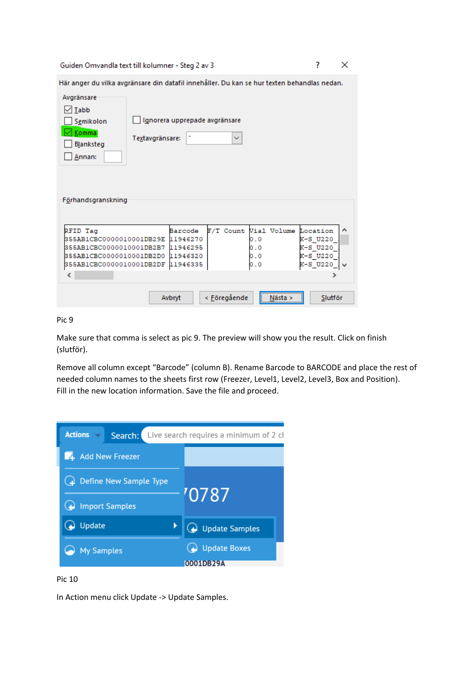Guiden Omvandla text till kolumner - Steg 2 av 3

 $\times$ 

 $\overline{\mathcal{E}}$ 

|                                                                                                                    | Här anger du vilka avgränsare din datafil innehåller. Du kan se hur texten behandlas nedan. |                      |                                  |                                                   |
|--------------------------------------------------------------------------------------------------------------------|---------------------------------------------------------------------------------------------|----------------------|----------------------------------|---------------------------------------------------|
| Avgränsare<br>$\sqrt{1}$ Tabb<br>Semikolon<br>Komma<br>Blanksteg<br>Annan:                                         | Ignorera upprepade avgränsare<br>Textavgränsare:                                            | $\checkmark$         |                                  |                                                   |
| Förhandsgranskning<br>RFID Tag<br>355AB1CBC0000010001DB29E<br>355AB1CBC0000010001DB2B7<br>355AB1CBC0000010001DB2D0 | Barcode<br>11946270<br>11946295<br>11946320                                                 | F/T Count            | Vial Volume<br>0.0<br>0.0<br>0.0 | Location<br>́<br>K-S U220<br>K-S U220<br>K-S U220 |
| 355AB1CBC0000010001DB2DF<br>∢                                                                                      | 11946335                                                                                    |                      | 0.0                              | K-S U220                                          |
|                                                                                                                    | Avbryt                                                                                      | < <u>F</u> öregående |                                  | Slutför                                           |

Pic 9

Make sure that comma is select as pic 9. The preview will show you the result. Click on finish (slutför).

Remove all column except "Barcode" (column B). Rename Barcode to BARCODE and place the rest of needed column names to the sheets first row (Freezer, Level1, Level2, Level3, Box and Position). Fill in the new location information. Save the file and proceed.



## Pic 10

In Action menu click Update -> Update Samples.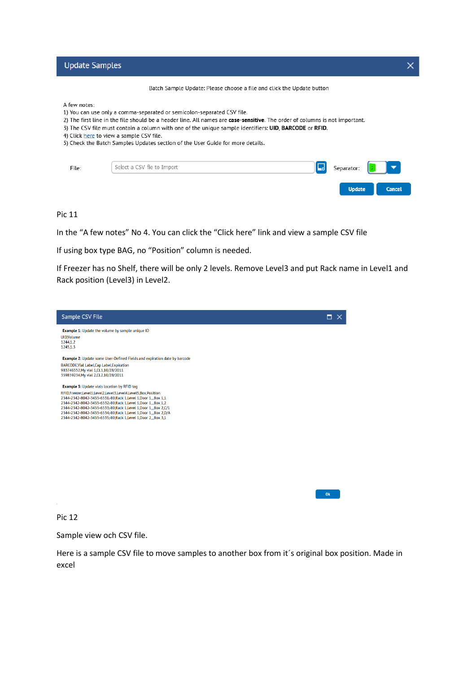**Update Samples** 

A few notes:

- 1) You can use only a comma-separated or semicolon-separated CSV file.
- 2) The first line in the file should be a header line. All names are case-sensitive. The order of columns is not important.
- 3) The CSV file must contain a column with one of the unique sample identifiers: UID, BARCODE or RFID.
- 4) Click here to view a sample CSV file.
- 5) Check the Batch Samples Updates section of the User Guide for more details.

| File: | Select a CSV file to Import | Separator: $\begin{array}{ c c } \hline \cdot & \bullet \end{array}$ |               |
|-------|-----------------------------|----------------------------------------------------------------------|---------------|
|       |                             | Update                                                               | <b>Cancel</b> |

Pic 11

In the "A few notes" No 4. You can click the "Click here" link and view a sample CSV file

If using box type BAG, no "Position" column is needed.

If Freezer has no Shelf, there will be only 2 levels. Remove Level3 and put Rack name in Level1 and Rack position (Level3) in Level2.

| Sample CSV File                                                                                                                                                                                       | п |
|-------------------------------------------------------------------------------------------------------------------------------------------------------------------------------------------------------|---|
| <b>Example 1:</b> Update the volume by sample unique ID<br><b>UID</b> , Volume                                                                                                                        |   |
| 1244,1.2<br>1245,1.3                                                                                                                                                                                  |   |
| Example 2: Update some User-Defined Fields and expiration date by barcode                                                                                                                             |   |
| BARCODE, Vial Label, Cap Label, Expiration<br>983746552.My vial 1.CL1.10/28/2011<br>359859234, My vial 2, CL2, 10/28/2011                                                                             |   |
| <b>Example 3: Update vials location by RFID tag</b>                                                                                                                                                   |   |
| RFID,Freezer,Level1,Level2,Level3,Level4,Level5,Box,Position<br>2344-2342-8042-3455-6531-80, Rack 1, Level 1, Door 1, Box 1,1<br>2344-2342-8042-3455-6532-80, Rack 1, Level 1, Door 1, Box 1.2        |   |
| 2344-2342-8042-3455-6533-80, Rack 1, Level 1, Door 1, Box 2, C/1<br>2344-2342-8042-3455-6534-80, Rack 1, Level 1, Door 1, Box 2, D/A<br>2344-2342-8042-3455-6535-80, Rack 1, Level 1, Door 2, Box 3,1 |   |
|                                                                                                                                                                                                       |   |
|                                                                                                                                                                                                       |   |
|                                                                                                                                                                                                       |   |
|                                                                                                                                                                                                       |   |
|                                                                                                                                                                                                       |   |
|                                                                                                                                                                                                       |   |

Pic 12

Sample view och CSV file.

Here is a sample CSV file to move samples to another box from it´s original box position. Made in excel

 $OR$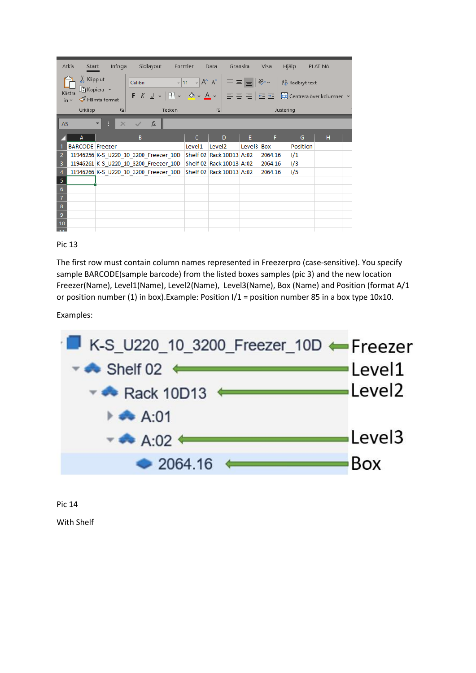|                 | Arkiv<br>Start                  | Infoga                                |                                       | Sidlayout | Formler      | Data                                                           | Granska    | Visa    | Hjälp                                                                                                                                                                                 | PLATINA |  |
|-----------------|---------------------------------|---------------------------------------|---------------------------------------|-----------|--------------|----------------------------------------------------------------|------------|---------|---------------------------------------------------------------------------------------------------------------------------------------------------------------------------------------|---------|--|
|                 | X Klipp ut<br>Klistra<br>$in -$ | $\Box$ Kopiera $\sim$<br>Hämta format | Calibri                               |           |              |                                                                |            |         | $\frac{1}{\sqrt{11} \cdot 1}$ A^ A <sup>*</sup> $\mid \Xi \equiv \boxed{=}$ $\mid \frac{1}{2}$ Radbryt text<br>- F K U ~   ⊞ ~   0 ~ A ~   三 三 三   三 三   ⊡ ⊡ Centrera över kolumner ~ |         |  |
|                 | Urklipp                         |                                       | $\overline{u}$                        | Tecken    |              | $\overline{12}$                                                |            |         | Justering                                                                                                                                                                             |         |  |
| A <sub>5</sub>  |                                 | ÷<br>÷.                               | $\times$ $\checkmark$                 | $f_x$     |              |                                                                |            |         |                                                                                                                                                                                       |         |  |
|                 | A                               |                                       | B.                                    |           | $\mathsf{C}$ | D                                                              | E.         | F.      | G                                                                                                                                                                                     | H.      |  |
|                 | <b>BARCODE</b> Freezer          |                                       |                                       |           | Level1       | Level <sub>2</sub>                                             | Level3 Box |         | Position                                                                                                                                                                              |         |  |
| 2               |                                 |                                       | 11946256 K-S_U220_10_3200_Freezer_10D |           |              | Shelf 02 Rack 10D13 A:02                                       |            | 2064.16 | 1/1                                                                                                                                                                                   |         |  |
| 3               |                                 |                                       | 11946261 K-S U220 10 3200 Freezer 10D |           |              | Shelf 02 Rack 10D13 A:02                                       |            | 2064.16 | 1/3                                                                                                                                                                                   |         |  |
| $\overline{4}$  |                                 |                                       |                                       |           |              | 11946266 K-S U220 10 3200 Freezer 10D Shelf 02 Rack 10D13 A:02 |            | 2064.16 | 1/5                                                                                                                                                                                   |         |  |
| 5               |                                 |                                       |                                       |           |              |                                                                |            |         |                                                                                                                                                                                       |         |  |
| $6\phantom{1}6$ |                                 |                                       |                                       |           |              |                                                                |            |         |                                                                                                                                                                                       |         |  |
| $\overline{7}$  |                                 |                                       |                                       |           |              |                                                                |            |         |                                                                                                                                                                                       |         |  |
| $\bf 8$         |                                 |                                       |                                       |           |              |                                                                |            |         |                                                                                                                                                                                       |         |  |
| $\overline{9}$  |                                 |                                       |                                       |           |              |                                                                |            |         |                                                                                                                                                                                       |         |  |
| 10              |                                 |                                       |                                       |           |              |                                                                |            |         |                                                                                                                                                                                       |         |  |
|                 |                                 |                                       |                                       |           |              |                                                                |            |         |                                                                                                                                                                                       |         |  |

The first row must contain column names represented in Freezerpro (case-sensitive). You specify sample BARCODE(sample barcode) from the listed boxes samples (pic 3) and the new location Freezer(Name), Level1(Name), Level2(Name), Level3(Name), Box (Name) and Position (format A/1 or position number (1) in box).Example: Position I/1 = position number 85 in a box type 10x10.

Examples:



Pic 14

With Shelf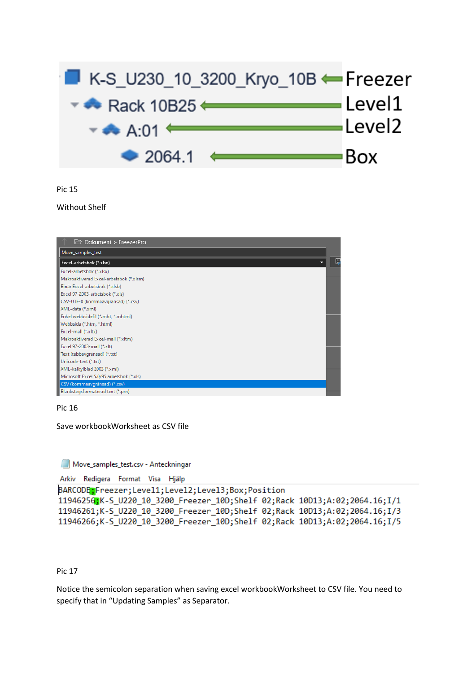

#### Without Shelf

| $\Box$ Dokument > FreezerPro             |   |
|------------------------------------------|---|
| Move_samples_test                        |   |
| Excel-arbetsbok (*.xlsx)                 | U |
| Excel-arbetsbok (*.xlsx)                 |   |
| Makroaktiverad Excel-arbetsbok (*.xlsm)  |   |
| Binär Excel-arbetsbok (*.xlsb)           |   |
| Excel 97-2003-arbetsbok (*.xls)          |   |
| CSV-UTF-8 (kommaavgränsad) (*.csv)       |   |
| XML-data (*.xml)                         |   |
| Enkel webbsidefil (*.mht, *.mhtml)       |   |
| Webbsida (*.htm, *.html)                 |   |
| Excel-mall (*.xltx)                      |   |
| Makroaktiverad Excel-mall (*.xltm)       |   |
| Excel 97-2003-mall (*.xlt)               |   |
| Text (tabbavgränsad) (*.txt)             |   |
| Unicode-text (*.txt)                     |   |
| XML-kalkylblad 2003 (*.xml)              |   |
| Microsoft Excel 5.0/95 arbetsbok (*.xls) |   |
| CSV (kommaavgränsad) (*.csv)             |   |
| Blankstegsformaterad text (*.prn)        |   |

Pic 16

Save workbookWorksheet as CSV file

Move\_samples\_test.csv - Anteckningar

```
Arkiv Redigera Format Visa Hjälp
```

```
BARCODE:Freezer;Level1;Level2;Level3;Box;Position
11946256;K-S_U220_10_3200_Freezer_10D;Shelf 02;Rack 10D13;A:02;2064.16;I/1
11946261;K-S_U220_10_3200_Freezer_10D;Shelf 02;Rack 10D13;A:02;2064.16;I/3
11946266;K-S_U220_10_3200_Freezer_10D;Shelf_02;Rack_10D13;A:02;2064.16;I/5
```
#### Pic 17

Notice the semicolon separation when saving excel workbookWorksheet to CSV file. You need to specify that in "Updating Samples" as Separator.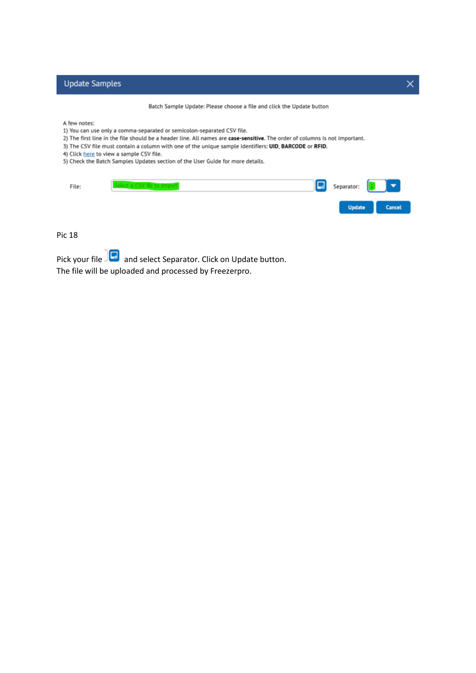|  |  |  | <b>Update Samples</b> |
|--|--|--|-----------------------|
|  |  |  |                       |
|  |  |  |                       |
|  |  |  |                       |
|  |  |  |                       |

Batch Sample Update: Please choose a file and click the Update button

A few notes:

- 1) You can use only a comma-separated or semicolon-separated CSV file.
- 2) The first line in the file should be a header line. All names are case-sensitive. The order of columns is not important.
- 3) The CSV file must contain a column with one of the unique sample identifiers: UID, BARCODE or RFID.
- 4) Click here to view a sample CSV file.
- 5) Check the Batch Samples Updates section of the User Guide for more details.

| File: | <b>Ed</b> Separator: <b>7</b> |               |
|-------|-------------------------------|---------------|
|       |                               | Update Cancel |

Pic 18

Pick your file **a** and select Separator. Click on Update button. The file will be uploaded and processed by Freezerpro.

 $\times$